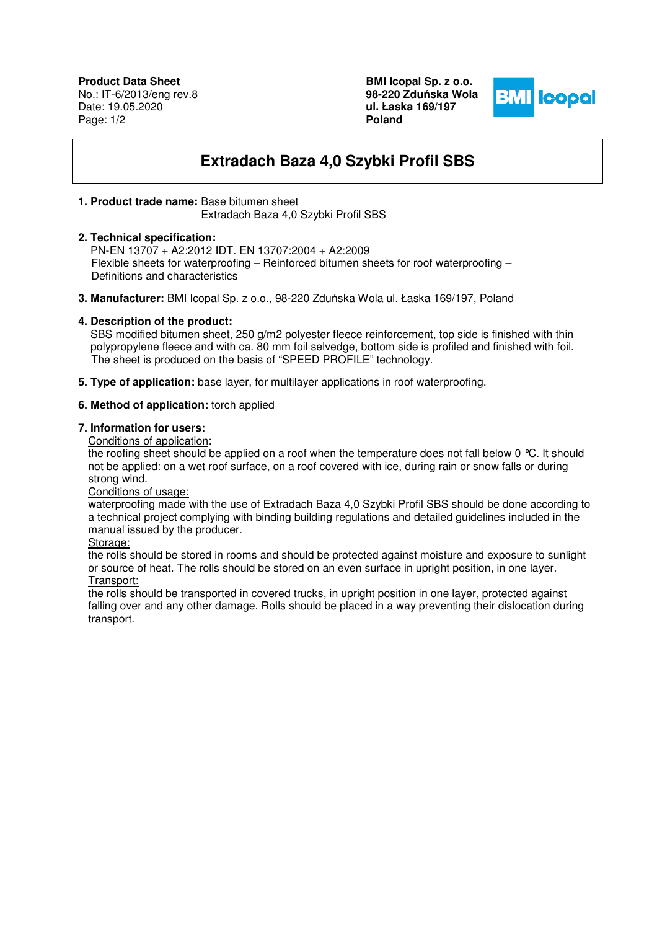**Product Data Sheet** No.: IT-6/2013/eng rev.8 Date: 19.05.2020 Page: 1/2

**BMI Icopal Sp. z o.o. 98-220 Zdu**ń**ska Wola ul. Łaska 169/197 Poland** 



# **Extradach Baza 4,0 Szybki Profil SBS**

#### **1. Product trade name:** Base bitumen sheet

Extradach Baza 4,0 Szybki Profil SBS

#### **2. Technical specification:**

 PN-EN 13707 + A2:2012 IDT. EN 13707:2004 + A2:2009 Flexible sheets for waterproofing – Reinforced bitumen sheets for roof waterproofing – Definitions and characteristics

**3. Manufacturer:** BMI Icopal Sp. z o.o., 98-220 Zduńska Wola ul. Łaska 169/197, Poland

# **4. Description of the product:**

SBS modified bitumen sheet, 250 g/m2 polyester fleece reinforcement, top side is finished with thin polypropylene fleece and with ca. 80 mm foil selvedge, bottom side is profiled and finished with foil. The sheet is produced on the basis of "SPEED PROFILE" technology.

**5. Type of application:** base layer, for multilayer applications in roof waterproofing.

# **6. Method of application:** torch applied

# **7. Information for users:**

Conditions of application:

the roofing sheet should be applied on a roof when the temperature does not fall below 0 °C. It should not be applied: on a wet roof surface, on a roof covered with ice, during rain or snow falls or during strong wind.

Conditions of usage:

waterproofing made with the use of Extradach Baza 4,0 Szybki Profil SBS should be done according to a technical project complying with binding building regulations and detailed guidelines included in the manual issued by the producer.

Storage:

the rolls should be stored in rooms and should be protected against moisture and exposure to sunlight or source of heat. The rolls should be stored on an even surface in upright position, in one layer. Transport:

the rolls should be transported in covered trucks, in upright position in one layer, protected against falling over and any other damage. Rolls should be placed in a way preventing their dislocation during transport.